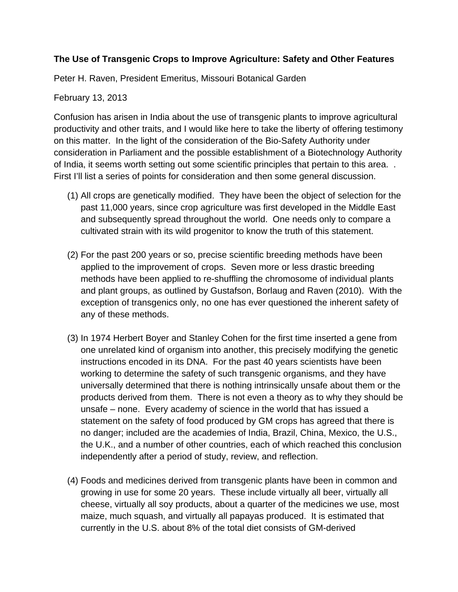## **The Use of Transgenic Crops to Improve Agriculture: Safety and Other Features**

Peter H. Raven, President Emeritus, Missouri Botanical Garden

## February 13, 2013

Confusion has arisen in India about the use of transgenic plants to improve agricultural productivity and other traits, and I would like here to take the liberty of offering testimony on this matter. In the light of the consideration of the Bio-Safety Authority under consideration in Parliament and the possible establishment of a Biotechnology Authority of India, it seems worth setting out some scientific principles that pertain to this area. . First I'll list a series of points for consideration and then some general discussion.

- (1) All crops are genetically modified. They have been the object of selection for the past 11,000 years, since crop agriculture was first developed in the Middle East and subsequently spread throughout the world. One needs only to compare a cultivated strain with its wild progenitor to know the truth of this statement.
- (2) For the past 200 years or so, precise scientific breeding methods have been applied to the improvement of crops. Seven more or less drastic breeding methods have been applied to re-shuffling the chromosome of individual plants and plant groups, as outlined by Gustafson, Borlaug and Raven (2010). With the exception of transgenics only, no one has ever questioned the inherent safety of any of these methods.
- (3) In 1974 Herbert Boyer and Stanley Cohen for the first time inserted a gene from one unrelated kind of organism into another, this precisely modifying the genetic instructions encoded in its DNA. For the past 40 years scientists have been working to determine the safety of such transgenic organisms, and they have universally determined that there is nothing intrinsically unsafe about them or the products derived from them. There is not even a theory as to why they should be unsafe – none. Every academy of science in the world that has issued a statement on the safety of food produced by GM crops has agreed that there is no danger; included are the academies of India, Brazil, China, Mexico, the U.S., the U.K., and a number of other countries, each of which reached this conclusion independently after a period of study, review, and reflection.
- (4) Foods and medicines derived from transgenic plants have been in common and growing in use for some 20 years. These include virtually all beer, virtually all cheese, virtually all soy products, about a quarter of the medicines we use, most maize, much squash, and virtually all papayas produced. It is estimated that currently in the U.S. about 8% of the total diet consists of GM-derived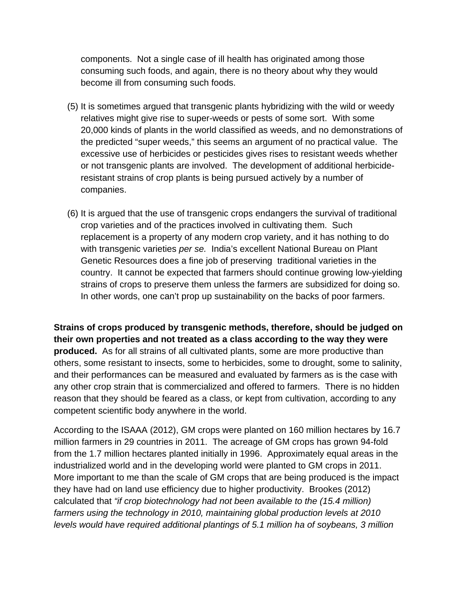components. Not a single case of ill health has originated among those consuming such foods, and again, there is no theory about why they would become ill from consuming such foods.

- (5) It is sometimes argued that transgenic plants hybridizing with the wild or weedy relatives might give rise to super-weeds or pests of some sort. With some 20,000 kinds of plants in the world classified as weeds, and no demonstrations of the predicted "super weeds," this seems an argument of no practical value. The excessive use of herbicides or pesticides gives rises to resistant weeds whether or not transgenic plants are involved. The development of additional herbicideresistant strains of crop plants is being pursued actively by a number of companies.
- (6) It is argued that the use of transgenic crops endangers the survival of traditional crop varieties and of the practices involved in cultivating them. Such replacement is a property of any modern crop variety, and it has nothing to do with transgenic varieties *per se.* India's excellent National Bureau on Plant Genetic Resources does a fine job of preserving traditional varieties in the country. It cannot be expected that farmers should continue growing low-yielding strains of crops to preserve them unless the farmers are subsidized for doing so. In other words, one can't prop up sustainability on the backs of poor farmers.

**Strains of crops produced by transgenic methods, therefore, should be judged on their own properties and not treated as a class according to the way they were produced.** As for all strains of all cultivated plants, some are more productive than others, some resistant to insects, some to herbicides, some to drought, some to salinity, and their performances can be measured and evaluated by farmers as is the case with any other crop strain that is commercialized and offered to farmers. There is no hidden reason that they should be feared as a class, or kept from cultivation, according to any competent scientific body anywhere in the world.

According to the ISAAA (2012), GM crops were planted on 160 million hectares by 16.7 million farmers in 29 countries in 2011. The acreage of GM crops has grown 94-fold from the 1.7 million hectares planted initially in 1996. Approximately equal areas in the industrialized world and in the developing world were planted to GM crops in 2011. More important to me than the scale of GM crops that are being produced is the impact they have had on land use efficiency due to higher productivity. Brookes (2012) calculated that *"if crop biotechnology had not been available to the (15.4 million) farmers using the technology in 2010, maintaining global production levels at 2010 levels would have required additional plantings of 5.1 million ha of soybeans, 3 million*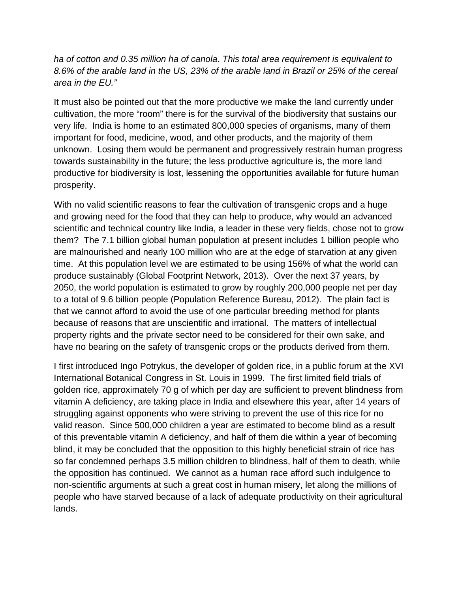*ha of cotton and 0.35 million ha of canola. This total area requirement is equivalent to 8.6% of the arable land in the US, 23% of the arable land in Brazil or 25% of the cereal area in the EU."* 

It must also be pointed out that the more productive we make the land currently under cultivation, the more "room" there is for the survival of the biodiversity that sustains our very life. India is home to an estimated 800,000 species of organisms, many of them important for food, medicine, wood, and other products, and the majority of them unknown. Losing them would be permanent and progressively restrain human progress towards sustainability in the future; the less productive agriculture is, the more land productive for biodiversity is lost, lessening the opportunities available for future human prosperity.

With no valid scientific reasons to fear the cultivation of transgenic crops and a huge and growing need for the food that they can help to produce, why would an advanced scientific and technical country like India, a leader in these very fields, chose not to grow them? The 7.1 billion global human population at present includes 1 billion people who are malnourished and nearly 100 million who are at the edge of starvation at any given time. At this population level we are estimated to be using 156% of what the world can produce sustainably (Global Footprint Network, 2013). Over the next 37 years, by 2050, the world population is estimated to grow by roughly 200,000 people net per day to a total of 9.6 billion people (Population Reference Bureau, 2012). The plain fact is that we cannot afford to avoid the use of one particular breeding method for plants because of reasons that are unscientific and irrational. The matters of intellectual property rights and the private sector need to be considered for their own sake, and have no bearing on the safety of transgenic crops or the products derived from them.

I first introduced Ingo Potrykus, the developer of golden rice, in a public forum at the XVI International Botanical Congress in St. Louis in 1999. The first limited field trials of golden rice, approximately 70 g of which per day are sufficient to prevent blindness from vitamin A deficiency, are taking place in India and elsewhere this year, after 14 years of struggling against opponents who were striving to prevent the use of this rice for no valid reason. Since 500,000 children a year are estimated to become blind as a result of this preventable vitamin A deficiency, and half of them die within a year of becoming blind, it may be concluded that the opposition to this highly beneficial strain of rice has so far condemned perhaps 3.5 million children to blindness, half of them to death, while the opposition has continued. We cannot as a human race afford such indulgence to non-scientific arguments at such a great cost in human misery, let along the millions of people who have starved because of a lack of adequate productivity on their agricultural lands.